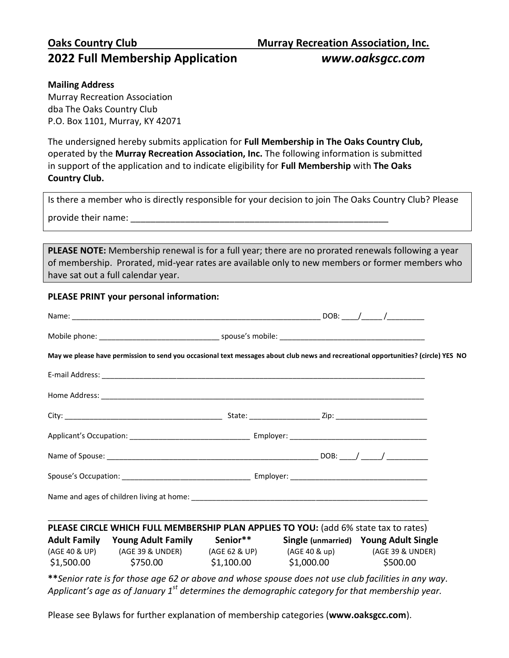# **2022 Full Membership Application** *www.oaksgcc.com*

### **Mailing Address**

Murray Recreation Association dba The Oaks Country Club P.O. Box 1101, Murray, KY 42071

The undersigned hereby submits application for **Full Membership in The Oaks Country Club,** operated by the **Murray Recreation Association, Inc.** The following information is submitted in support of the application and to indicate eligibility for **Full Membership** with **The Oaks Country Club.**

Is there a member who is directly responsible for your decision to join The Oaks Country Club? Please

provide their name:  $\Box$ 

**PLEASE NOTE:** Membership renewal is for a full year; there are no prorated renewals following a year of membership. Prorated, mid-year rates are available only to new members or former members who have sat out a full calendar year.

### **PLEASE PRINT your personal information:**

|  |                                                                                                                                                                                                                                                                            |  |  | May we please have permission to send you occasional text messages about club news and recreational opportunities? (circle) YES NO |
|--|----------------------------------------------------------------------------------------------------------------------------------------------------------------------------------------------------------------------------------------------------------------------------|--|--|------------------------------------------------------------------------------------------------------------------------------------|
|  |                                                                                                                                                                                                                                                                            |  |  |                                                                                                                                    |
|  |                                                                                                                                                                                                                                                                            |  |  |                                                                                                                                    |
|  |                                                                                                                                                                                                                                                                            |  |  |                                                                                                                                    |
|  |                                                                                                                                                                                                                                                                            |  |  |                                                                                                                                    |
|  |                                                                                                                                                                                                                                                                            |  |  |                                                                                                                                    |
|  |                                                                                                                                                                                                                                                                            |  |  |                                                                                                                                    |
|  |                                                                                                                                                                                                                                                                            |  |  |                                                                                                                                    |
|  |                                                                                                                                                                                                                                                                            |  |  |                                                                                                                                    |
|  | PLEASE CIRCLE WHICH FULL MEMBERSHIP PLAN APPLIES TO YOU: (add 6% state tax to rates)<br>Adult Family Young Adult Family Senior**<br>(AGE 40 & UP) (AGE 39 & UNDER) (AGE 62 & UP) (AGE 40 & up) (AGE 39 & UNDER)<br>$$1,500.00$ $$750.00$ $$1,100.00$ $$1,000.00$ $$500.00$ |  |  | <b>Single (unmarried) Young Adult Single</b>                                                                                       |
|  | **Senior rate is for those age 62 or above and whose spouse does not use club facilities in any way.<br>Applicant's age as of January $1st$ determines the demographic category for that membership year.                                                                  |  |  |                                                                                                                                    |

Please see Bylaws for further explanation of membership categories (**www.oaksgcc.com**).